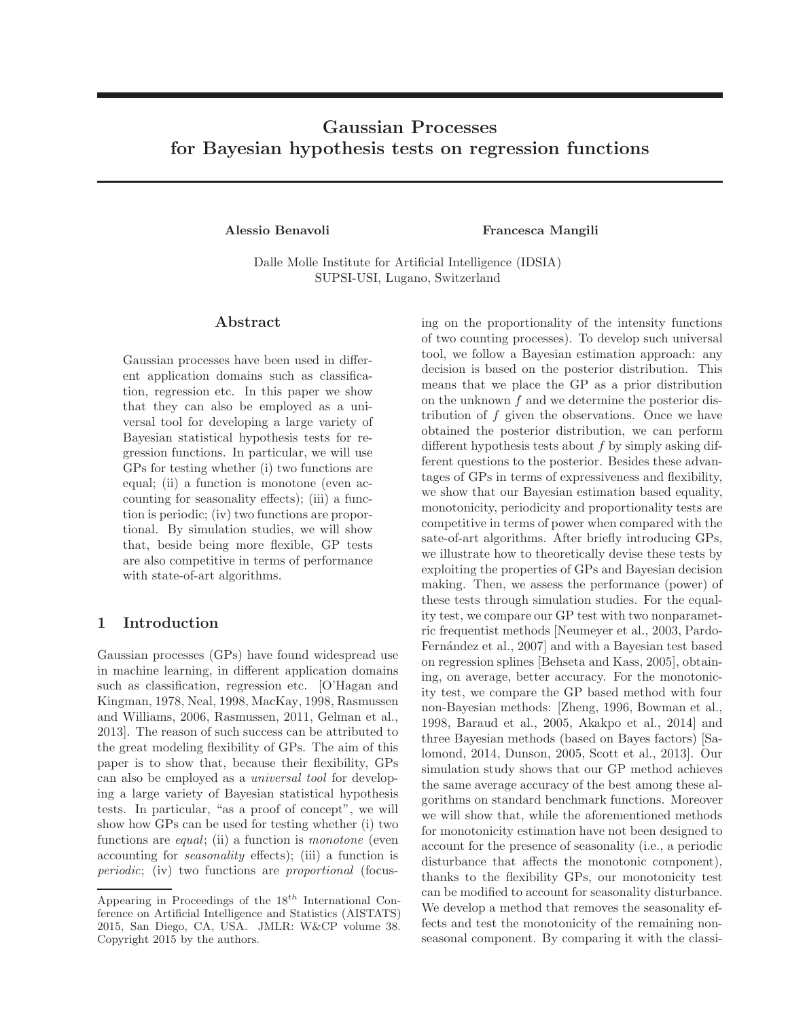# Gaussian Processes for Bayesian hypothesis tests on regression functions

Alessio Benavoli **Francesca Mangili** 

Dalle Molle Institute for Artificial Intelligence (IDSIA) SUPSI-USI, Lugano, Switzerland

### Abstract

Gaussian processes have been used in different application domains such as classification, regression etc. In this paper we show that they can also be employed as a universal tool for developing a large variety of Bayesian statistical hypothesis tests for regression functions. In particular, we will use GPs for testing whether (i) two functions are equal; (ii) a function is monotone (even accounting for seasonality effects); (iii) a function is periodic; (iv) two functions are proportional. By simulation studies, we will show that, beside being more flexible, GP tests are also competitive in terms of performance with state-of-art algorithms.

# 1 Introduction

Gaussian processes (GPs) have found widespread use in machine learning, in different application domains such as classification, regression etc. [O'Hagan and Kingman, 1978, Neal, 1998, MacKay, 1998, Rasmussen and Williams, 2006, Rasmussen, 2011, Gelman et al., 2013]. The reason of such success can be attributed to the great modeling flexibility of GPs. The aim of this paper is to show that, because their flexibility, GPs can also be employed as a universal tool for developing a large variety of Bayesian statistical hypothesis tests. In particular, "as a proof of concept", we will show how GPs can be used for testing whether (i) two functions are *equal*; (ii) a function is *monotone* (even accounting for seasonality effects); (iii) a function is periodic; (iv) two functions are proportional (focusing on the proportionality of the intensity functions of two counting processes). To develop such universal tool, we follow a Bayesian estimation approach: any decision is based on the posterior distribution. This means that we place the GP as a prior distribution on the unknown f and we determine the posterior distribution of  $f$  given the observations. Once we have obtained the posterior distribution, we can perform different hypothesis tests about  $f$  by simply asking different questions to the posterior. Besides these advantages of GPs in terms of expressiveness and flexibility, we show that our Bayesian estimation based equality, monotonicity, periodicity and proportionality tests are competitive in terms of power when compared with the sate-of-art algorithms. After briefly introducing GPs, we illustrate how to theoretically devise these tests by exploiting the properties of GPs and Bayesian decision making. Then, we assess the performance (power) of these tests through simulation studies. For the equality test, we compare our GP test with two nonparametric frequentist methods [Neumeyer et al., 2003, Pardo-Fernández et al., 2007] and with a Bayesian test based on regression splines [Behseta and Kass, 2005], obtaining, on average, better accuracy. For the monotonicity test, we compare the GP based method with four non-Bayesian methods: [Zheng, 1996, Bowman et al., 1998, Baraud et al., 2005, Akakpo et al., 2014] and three Bayesian methods (based on Bayes factors) [Salomond, 2014, Dunson, 2005, Scott et al., 2013]. Our simulation study shows that our GP method achieves the same average accuracy of the best among these algorithms on standard benchmark functions. Moreover we will show that, while the aforementioned methods for monotonicity estimation have not been designed to account for the presence of seasonality (i.e., a periodic disturbance that affects the monotonic component), thanks to the flexibility GPs, our monotonicity test can be modified to account for seasonality disturbance. We develop a method that removes the seasonality effects and test the monotonicity of the remaining nonseasonal component. By comparing it with the classi-

Appearing in Proceedings of the  $18^{th}$  International Conference on Artificial Intelligence and Statistics (AISTATS) 2015, San Diego, CA, USA. JMLR: W&CP volume 38. Copyright 2015 by the authors.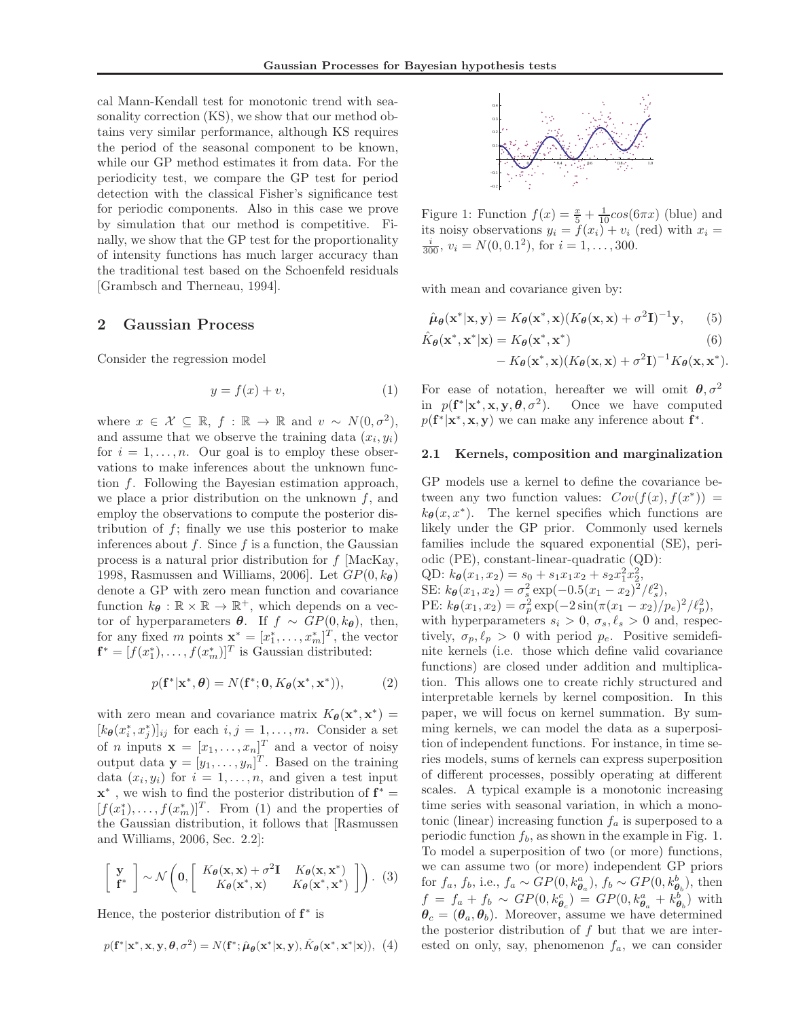cal Mann-Kendall test for monotonic trend with seasonality correction (KS), we show that our method obtains very similar performance, although KS requires the period of the seasonal component to be known, while our GP method estimates it from data. For the periodicity test, we compare the GP test for period detection with the classical Fisher's significance test for periodic components. Also in this case we prove by simulation that our method is competitive. Finally, we show that the GP test for the proportionality of intensity functions has much larger accuracy than the traditional test based on the Schoenfeld residuals [Grambsch and Therneau, 1994].

#### 2 Gaussian Process

Consider the regression model

$$
y = f(x) + v,\tag{1}
$$

where  $x \in \mathcal{X} \subseteq \mathbb{R}, f : \mathbb{R} \to \mathbb{R}$  and  $v \sim N(0, \sigma^2)$ , and assume that we observe the training data  $(x_i, y_i)$ for  $i = 1, \ldots, n$ . Our goal is to employ these observations to make inferences about the unknown function f. Following the Bayesian estimation approach, we place a prior distribution on the unknown  $f$ , and employ the observations to compute the posterior distribution of  $f$ ; finally we use this posterior to make inferences about  $f$ . Since  $f$  is a function, the Gaussian process is a natural prior distribution for  $f$  [MacKay, 1998, Rasmussen and Williams, 2006]. Let  $GP(0, k_{\theta})$ denote a GP with zero mean function and covariance function  $k_{\theta} : \mathbb{R} \times \mathbb{R} \to \mathbb{R}^+$ , which depends on a vector of hyperparameters  $\theta$ . If  $f \sim GP(0, k_{\theta})$ , then, for any fixed m points  $\mathbf{x}^* = [x_1^*, \dots, x_m^*]^T$ , the vector  $\mathbf{f}^* = [f(x_1^*), \dots, f(x_m^*)]^T$  is Gaussian distributed:

$$
p(\mathbf{f}^*|\mathbf{x}^*,\boldsymbol{\theta}) = N(\mathbf{f}^*;\mathbf{0}, K_{\boldsymbol{\theta}}(\mathbf{x}^*,\mathbf{x}^*)),
$$
 (2)

with zero mean and covariance matrix  $K_{\theta}(\mathbf{x}^*, \mathbf{x}^*)$  =  $[k_{\theta}(x_i^*, x_j^*)]_{ij}$  for each  $i, j = 1, ..., m$ . Consider a set of *n* inputs  $\mathbf{x} = [x_1, \dots, x_n]^T$  and a vector of noisy output data  $\mathbf{y} = [y_1, \dots, y_n]^T$ . Based on the training data  $(x_i, y_i)$  for  $i = 1, \ldots, n$ , and given a test input  $\mathbf{x}^*$ , we wish to find the posterior distribution of  $\mathbf{f}^* =$  $[f(x_1^*),...,f(x_m^*)]^T$ . From (1) and the properties of the Gaussian distribution, it follows that [Rasmussen and Williams, 2006, Sec. 2.2]:

$$
\begin{bmatrix} \mathbf{y} \\ \mathbf{f}^* \end{bmatrix} \sim \mathcal{N} \left( \mathbf{0}, \begin{bmatrix} K_{\theta}(\mathbf{x}, \mathbf{x}) + \sigma^2 \mathbf{I} & K_{\theta}(\mathbf{x}, \mathbf{x}^*) \\ K_{\theta}(\mathbf{x}^*, \mathbf{x}) & K_{\theta}(\mathbf{x}^*, \mathbf{x}^*) \end{bmatrix} \right). (3)
$$

Hence, the posterior distribution of  $f^*$  is

$$
p(\mathbf{f}^*|\mathbf{x}^*, \mathbf{x}, \mathbf{y}, \boldsymbol{\theta}, \sigma^2) = N(\mathbf{f}^*; \hat{\boldsymbol{\mu}}_{\boldsymbol{\theta}}(\mathbf{x}^*|\mathbf{x}, \mathbf{y}), \hat{K}_{\boldsymbol{\theta}}(\mathbf{x}^*, \mathbf{x}^*|\mathbf{x})), (4)
$$



Figure 1: Function  $f(x) = \frac{x}{5} + \frac{1}{10} \cos(6\pi x)$  (blue) and its noisy observations  $y_i = f(x_i) + v_i$  (red) with  $x_i =$  $\frac{i}{300}$ ,  $v_i = N(0, 0.1^2)$ , for  $i = 1, ..., 300$ .

with mean and covariance given by:

$$
\hat{\boldsymbol{\mu}}_{\boldsymbol{\theta}}(\mathbf{x}^*|\mathbf{x}, \mathbf{y}) = K_{\boldsymbol{\theta}}(\mathbf{x}^*, \mathbf{x}) (K_{\boldsymbol{\theta}}(\mathbf{x}, \mathbf{x}) + \sigma^2 \mathbf{I})^{-1} \mathbf{y}, \qquad (5)
$$

$$
\hat{K}_{\theta}(\mathbf{x}^*, \mathbf{x}^*|\mathbf{x}) = K_{\theta}(\mathbf{x}^*, \mathbf{x}^*)
$$
\n
$$
- K_{\theta}(\mathbf{x}^*, \mathbf{x}) (K_{\theta}(\mathbf{x}, \mathbf{x}) + \sigma^2 \mathbf{I})^{-1} K_{\theta}(\mathbf{x}, \mathbf{x}^*).
$$
\n(6)

For ease of notation, hereafter we will omit  $\theta$ ,  $\sigma^2$ in  $p(\mathbf{f}^*|\mathbf{x}^*, \mathbf{x}, \mathbf{y}, \boldsymbol{\theta}, \sigma^2)$ . Once we have computed  $p(\mathbf{f}^*|\mathbf{x}^*, \mathbf{x}, \mathbf{y})$  we can make any inference about  $\mathbf{f}^*$ .

#### 2.1 Kernels, composition and marginalization

GP models use a kernel to define the covariance between any two function values:  $Cov(f(x), f(x^*))$  =  $k_{\theta}(x, x^*)$ . The kernel specifies which functions are likely under the GP prior. Commonly used kernels families include the squared exponential (SE), periodic (PE), constant-linear-quadratic (QD):

QD:  $k_{\theta}(x_1, x_2) = s_0 + s_1 x_1 x_2 + s_2 x_1^2 x_2^2$ , SE:  $k_{\theta}(x_1, x_2) = \sigma_s^2 \exp(-0.5(x_1 - x_2)^2/\ell_s^2),$ PE:  $k_{\theta}(x_1, x_2) = \sigma_p^2 \exp(-2\sin(\pi(x_1 - x_2)/p_e)^2/\ell_p^2),$ with hyperparameters  $s_i > 0$ ,  $\sigma_s, \ell_s > 0$  and, respectively,  $\sigma_p, \ell_p > 0$  with period  $p_e$ . Positive semidefinite kernels (i.e. those which define valid covariance functions) are closed under addition and multiplication. This allows one to create richly structured and interpretable kernels by kernel composition. In this paper, we will focus on kernel summation. By summing kernels, we can model the data as a superposition of independent functions. For instance, in time series models, sums of kernels can express superposition of different processes, possibly operating at different scales. A typical example is a monotonic increasing time series with seasonal variation, in which a monotonic (linear) increasing function  $f_a$  is superposed to a periodic function  $f<sub>b</sub>$ , as shown in the example in Fig. 1. To model a superposition of two (or more) functions, we can assume two (or more) independent GP priors for  $f_a$ ,  $f_b$ , i.e.,  $f_a \sim GP(0, k_{\theta_a}^a)$ ,  $f_b \sim GP(0, k_{\theta_b}^b)$ , then  $f = f_a + f_b \sim GP(0, k_{\theta_c}^c) = GP(0, k_{\theta_a}^a + k_{\theta_b}^b)$  with  $\theta_c = (\theta_a, \theta_b)$ . Moreover, assume we have determined the posterior distribution of  $f$  but that we are interested on only, say, phenomenon  $f_a$ , we can consider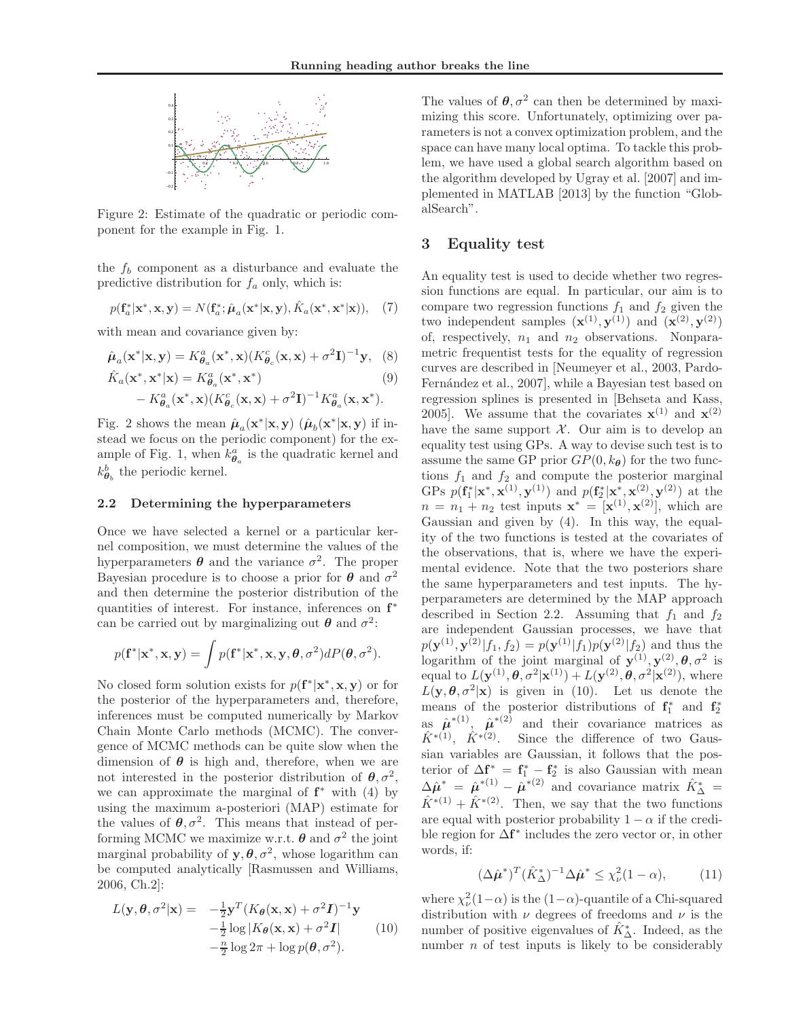

Figure 2: Estimate of the quadratic or periodic component for the example in Fig. 1.

the  $f_b$  component as a disturbance and evaluate the predictive distribution for  $f_a$  only, which is:

$$
p(\mathbf{f}_a^*|\mathbf{x}^*, \mathbf{x}, \mathbf{y}) = N(\mathbf{f}_a^*; \hat{\boldsymbol{\mu}}_a(\mathbf{x}^*|\mathbf{x}, \mathbf{y}), \hat{K}_a(\mathbf{x}^*, \mathbf{x}^*|\mathbf{x})), \quad (7)
$$

with mean and covariance given by:

$$
\hat{\boldsymbol{\mu}}_a(\mathbf{x}^*|\mathbf{x}, \mathbf{y}) = K^a_{\boldsymbol{\theta}_a}(\mathbf{x}^*, \mathbf{x}) (K^c_{\boldsymbol{\theta}_c}(\mathbf{x}, \mathbf{x}) + \sigma^2 \mathbf{I})^{-1} \mathbf{y}, \tag{8}
$$

$$
\hat{K}_a(\mathbf{x}^*, \mathbf{x}^* | \mathbf{x}) = K^a_{\theta_a}(\mathbf{x}^*, \mathbf{x}^*)
$$
\n
$$
- K^a_{\theta_a}(\mathbf{x}^*, \mathbf{x}) (K^c_{\theta_c}(\mathbf{x}, \mathbf{x}) + \sigma^2 \mathbf{I})^{-1} K^a_{\theta_a}(\mathbf{x}, \mathbf{x}^*).
$$
\n(9)

Fig. 2 shows the mean 
$$
\hat{\boldsymbol{\mu}}_a(\mathbf{x}^*|\mathbf{x}, \mathbf{y})
$$
 ( $\hat{\boldsymbol{\mu}}_b(\mathbf{x}^*|\mathbf{x}, \mathbf{y})$  if instead we focus on the periodic component) for the example of Fig. 1, when  $k_{\theta_a}^a$  is the quadratic kernal and  $k_{\theta_b}^b$  the periodic kernal.

#### 2.2 Determining the hyperparameters

Once we have selected a kernel or a particular kernel composition, we must determine the values of the hyperparameters  $\boldsymbol{\theta}$  and the variance  $\sigma^2$ . The proper Bayesian procedure is to choose a prior for  $\theta$  and  $\sigma^2$ and then determine the posterior distribution of the quantities of interest. For instance, inferences on  $f^*$ can be carried out by marginalizing out  $\theta$  and  $\sigma^2$ :

$$
p(\mathbf{f}^*|\mathbf{x}^*, \mathbf{x}, \mathbf{y}) = \int p(\mathbf{f}^*|\mathbf{x}^*, \mathbf{x}, \mathbf{y}, \theta, \sigma^2) dP(\theta, \sigma^2).
$$

No closed form solution exists for  $p(\mathbf{f}^*|\mathbf{x}^*, \mathbf{x}, \mathbf{y})$  or for the posterior of the hyperparameters and, therefore, inferences must be computed numerically by Markov Chain Monte Carlo methods (MCMC). The convergence of MCMC methods can be quite slow when the dimension of  $\theta$  is high and, therefore, when we are not interested in the posterior distribution of  $\theta$ ,  $\sigma^2$ , we can approximate the marginal of  $f^*$  with (4) by using the maximum a-posteriori (MAP) estimate for the values of  $\theta$ ,  $\sigma^2$ . This means that instead of performing MCMC we maximize w.r.t.  $\theta$  and  $\sigma^2$  the joint marginal probability of  $y, \theta, \sigma^2$ , whose logarithm can be computed analytically [Rasmussen and Williams, 2006, Ch.2]:

$$
L(\mathbf{y}, \boldsymbol{\theta}, \sigma^2 | \mathbf{x}) = -\frac{1}{2} \mathbf{y}^T (K_{\boldsymbol{\theta}}(\mathbf{x}, \mathbf{x}) + \sigma^2 \mathbf{I})^{-1} \mathbf{y}
$$
  
\n
$$
-\frac{1}{2} \log |K_{\boldsymbol{\theta}}(\mathbf{x}, \mathbf{x}) + \sigma^2 \mathbf{I}|
$$
 (10)  
\n
$$
-\frac{n}{2} \log 2\pi + \log p(\boldsymbol{\theta}, \sigma^2).
$$

The values of  $\theta$ ,  $\sigma^2$  can then be determined by maximizing this score. Unfortunately, optimizing over parameters is not a convex optimization problem, and the space can have many local optima. To tackle this problem, we have used a global search algorithm based on the algorithm developed by Ugray et al. [2007] and implemented in MATLAB [2013] by the function "GlobalSearch".

### 3 Equality test

An equality test is used to decide whether two regression functions are equal. In particular, our aim is to compare two regression functions  $f_1$  and  $f_2$  given the two independent samples  $(\mathbf{x}^{(1)}, \mathbf{y}^{(1)})$  and  $(\mathbf{x}^{(2)}, \mathbf{y}^{(2)})$ of, respectively,  $n_1$  and  $n_2$  observations. Nonparametric frequentist tests for the equality of regression curves are described in [Neumeyer et al., 2003, Pardo-Fernández et al., 2007, while a Bayesian test based on regression splines is presented in [Behseta and Kass, 2005]. We assume that the covariates  $\mathbf{x}^{(1)}$  and  $\mathbf{x}^{(2)}$ have the same support  $\mathcal{X}$ . Our aim is to develop an equality test using GPs. A way to devise such test is to assume the same GP prior  $GP(0, k_{\theta})$  for the two functions  $f_1$  and  $f_2$  and compute the posterior marginal GPs  $p(\mathbf{f}_1^*|\mathbf{x}^*, \mathbf{x}^{(1)}, \mathbf{y}^{(1)})$  and  $p(\mathbf{f}_2^*|\mathbf{x}^*, \mathbf{x}^{(2)}, \mathbf{y}^{(2)})$  at the  $n = n_1 + n_2$  test inputs  $\mathbf{x}^* = [\mathbf{x}^{(1)}, \mathbf{x}^{(2)}],$  which are Gaussian and given by (4). In this way, the equality of the two functions is tested at the covariates of the observations, that is, where we have the experimental evidence. Note that the two posteriors share the same hyperparameters and test inputs. The hyperparameters are determined by the MAP approach described in Section 2.2. Assuming that  $f_1$  and  $f_2$ are independent Gaussian processes, we have that  $p(\mathbf{y}^{(1)}, \mathbf{y}^{(2)} | f_1, f_2) = p(\mathbf{y}^{(1)} | f_1) p(\mathbf{y}^{(2)} | f_2)$  and thus the logarithm of the joint marginal of  $\mathbf{y}^{(1)}, \mathbf{y}^{(2)}, \theta, \sigma^2$  is equal to  $L(\mathbf{y}^{(1)}, \boldsymbol{\theta}, \sigma^2 | \mathbf{x}^{(1)}) + L(\mathbf{y}^{(2)}, \boldsymbol{\theta}, \sigma^2 | \mathbf{x}^{(2)}),$  where  $L(\mathbf{y}, \theta, \sigma^2 | \mathbf{x})$  is given in (10). Let us denote the means of the posterior distributions of  $f_1^*$  and  $f_2^*$ as  $\hat{\mu}^{*(1)}$ ,  $\hat{\mu}^{*(2)}$  and their covariance matrices as  $\hat{K}^{*(1)}$ ,  $\hat{K}^{*(2)}$ . Since the difference of two Gaussian variables are Gaussian, it follows that the posterior of  $\Delta \mathbf{f}^* = \mathbf{f}^*_1 - \mathbf{f}^*_2$  is also Gaussian with mean  $\Delta \hat{\mu}^* = \hat{\mu}^{*(1)} - \hat{\mu}^{*(2)}$  and covariance matrix  $\hat{K}^*_{\Delta} =$  $\hat{K}^{*(1)} + \hat{K}^{*(2)}$ . Then, we say that the two functions are equal with posterior probability  $1 - \alpha$  if the credible region for ∆f ∗ includes the zero vector or, in other words, if:

$$
(\Delta \hat{\boldsymbol{\mu}}^*)^T (\hat{K}_{\Delta}^*)^{-1} \Delta \hat{\boldsymbol{\mu}}^* \le \chi^2_{\nu} (1 - \alpha), \tag{11}
$$

where  $\chi^2_{\nu}(1-\alpha)$  is the  $(1-\alpha)$ -quantile of a Chi-squared distribution with  $\nu$  degrees of freedoms and  $\nu$  is the number of positive eigenvalues of  $\hat{K}_{\Delta}^*$ . Indeed, as the number  $n$  of test inputs is likely to be considerably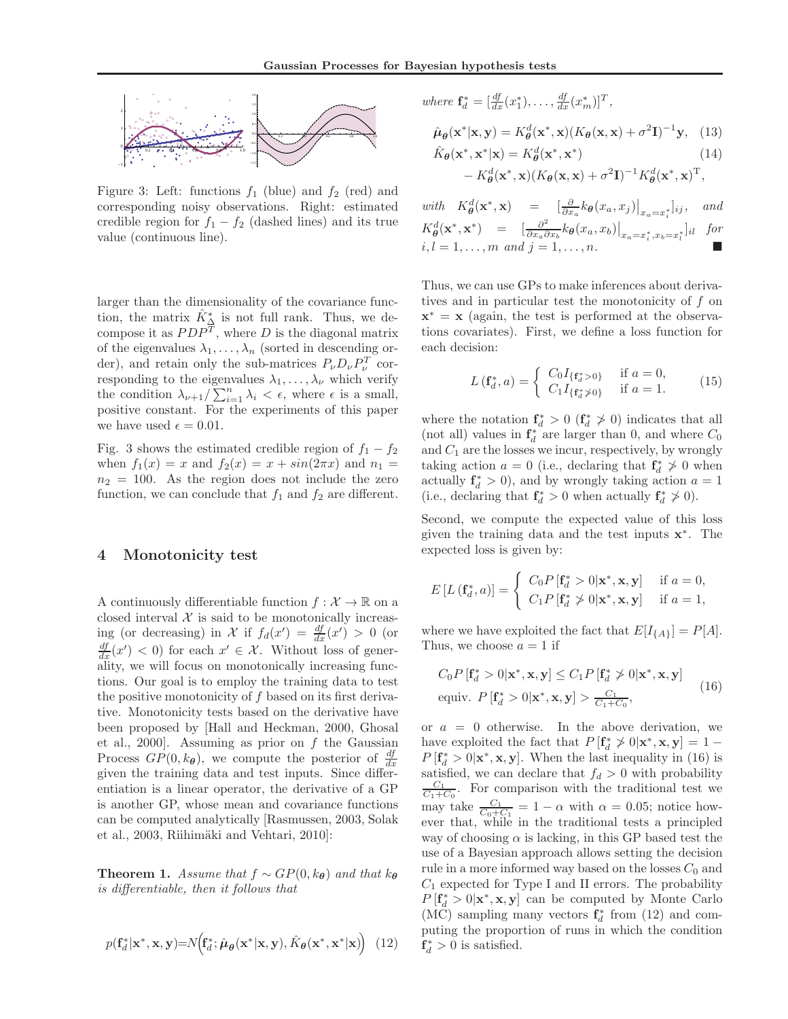

Figure 3: Left: functions  $f_1$  (blue) and  $f_2$  (red) and corresponding noisy observations. Right: estimated credible region for  $f_1 - f_2$  (dashed lines) and its true value (continuous line).

larger than the dimensionality of the covariance function, the matrix  $\hat{K}_{\Delta}^*$  is not full rank. Thus, we decompose it as  $PDP<sup>T</sup>$ , where D is the diagonal matrix of the eigenvalues  $\lambda_1, \ldots, \lambda_n$  (sorted in descending order), and retain only the sub-matrices  $P_{\nu}D_{\nu}P_{\nu}^{T}$  corresponding to the eigenvalues  $\lambda_1, \ldots, \lambda_{\nu}$  which verify the condition  $\lambda_{\nu+1}/\sum_{i=1}^n \lambda_i < \epsilon$ , where  $\epsilon$  is a small, positive constant. For the experiments of this paper we have used  $\epsilon = 0.01$ .

Fig. 3 shows the estimated credible region of  $f_1 - f_2$ when  $f_1(x) = x$  and  $f_2(x) = x + sin(2\pi x)$  and  $n_1 =$  $n_2 = 100$ . As the region does not include the zero function, we can conclude that  $f_1$  and  $f_2$  are different.

## 4 Monotonicity test

A continuously differentiable function  $f: \mathcal{X} \to \mathbb{R}$  on a closed interval  $X$  is said to be monotonically increasing (or decreasing) in X if  $f_d(x') = \frac{df}{dx}(x') > 0$  (or  $\frac{df}{dx}(x') < 0$ ) for each  $x' \in \mathcal{X}$ . Without loss of generality, we will focus on monotonically increasing functions. Our goal is to employ the training data to test the positive monotonicity of  $f$  based on its first derivative. Monotonicity tests based on the derivative have been proposed by [Hall and Heckman, 2000, Ghosal et al., 2000]. Assuming as prior on  $f$  the Gaussian Process  $GP(0, k_{\theta})$ , we compute the posterior of  $\frac{df}{dx}$ given the training data and test inputs. Since differentiation is a linear operator, the derivative of a GP is another GP, whose mean and covariance functions can be computed analytically [Rasmussen, 2003, Solak et al., 2003, Riihimäki and Vehtari, 2010]:

**Theorem 1.** Assume that  $f \sim GP(0, k_{\theta})$  and that  $k_{\theta}$ is differentiable, then it follows that

$$
p(\mathbf{f}_d^*|\mathbf{x}^*, \mathbf{x}, \mathbf{y}) = N\Big(\mathbf{f}_d^*; \hat{\boldsymbol{\mu}}_{\boldsymbol{\theta}}(\mathbf{x}^*|\mathbf{x}, \mathbf{y}), \hat{K}_{\boldsymbol{\theta}}(\mathbf{x}^*, \mathbf{x}^*|\mathbf{x})\Big) \tag{12}
$$

where 
$$
\mathbf{f}_d^* = [\frac{df}{dx}(x_1^*), \dots, \frac{df}{dx}(x_m^*)]^T,
$$
  
\n
$$
\hat{\boldsymbol{\mu}}_{\boldsymbol{\theta}}(\mathbf{x}^*|\mathbf{x}, \mathbf{y}) = K_{\boldsymbol{\theta}}^d(\mathbf{x}^*, \mathbf{x}) (K_{\boldsymbol{\theta}}(\mathbf{x}, \mathbf{x}) + \sigma^2 \mathbf{I})^{-1} \mathbf{y}, \quad (13)
$$
  
\n
$$
\hat{\mathbf{k}}_{\boldsymbol{\theta}}(\mathbf{x}^* | \mathbf{x}^* | \mathbf{y}) = K_{\boldsymbol{\theta}}^d(\mathbf{x}^* | \mathbf{x}^*)
$$
 (14)

$$
\hat{K}_{\theta}(\mathbf{x}^*, \mathbf{x}^* | \mathbf{x}) = K_{\theta}^d(\mathbf{x}^*, \mathbf{x}^*)
$$
\n
$$
- K_{\theta}^d(\mathbf{x}^*, \mathbf{x}) (K_{\theta}(\mathbf{x}, \mathbf{x}) + \sigma^2 \mathbf{I})^{-1} K_{\theta}^d(\mathbf{x}^*, \mathbf{x})^T,
$$
\n(14)

with  $K^d_{\theta}(\mathbf{x}^*, \mathbf{x}) = \left[ \frac{\partial}{\partial x_a} k_{\theta}(x_a, x_j) \right]_{x_a = x_i^*} \bigg|_{ij},$  and  $K^d_{\boldsymbol{\theta}}(\mathbf{x}^*, \mathbf{x}^*)$  =  $\left[\frac{\partial^2}{\partial x_i \delta}\right]$  $\frac{\partial^2}{\partial x_a \partial x_b} k_{\boldsymbol{\theta}}(x_a, x_b)\big|_{x_a = x^*_i, x_b = x^*_l}$  $for$  $i, l = 1, \ldots, m \text{ and } j = 1, \ldots, n.$ 

Thus, we can use GPs to make inferences about derivatives and in particular test the monotonicity of f on  $\mathbf{x}^* = \mathbf{x}$  (again, the test is performed at the observations covariates). First, we define a loss function for each decision:

$$
L(\mathbf{f}_d^*, a) = \begin{cases} C_0 I_{\{\mathbf{f}_d^* > 0\}} & \text{if } a = 0, \\ C_1 I_{\{\mathbf{f}_d^* \neq 0\}} & \text{if } a = 1. \end{cases}
$$
 (15)

where the notation  $\mathbf{f}_d^* > 0$  ( $\mathbf{f}_d^* \geq 0$ ) indicates that all (not all) values in  $\mathbf{f}_d^*$  are larger than 0, and where  $C_0$ and  $C_1$  are the losses we incur, respectively, by wrongly taking action  $a = 0$  (i.e., declaring that  $\mathbf{f}_d^* \ngeq 0$  when actually  $f_d^* > 0$ , and by wrongly taking action  $a = 1$ (i.e., declaring that  $\mathbf{f}_d^* > 0$  when actually  $\mathbf{f}_d^* \geq 0$ ).

Second, we compute the expected value of this loss given the training data and the test inputs x ∗ . The expected loss is given by:

$$
E\left[L\left(\mathbf{f}_d^*,a\right)\right] = \begin{cases} C_0 P\left[\mathbf{f}_d^* > 0 | \mathbf{x}^*, \mathbf{x}, \mathbf{y}\right] & \text{if } a = 0, \\ C_1 P\left[\mathbf{f}_d^* \ngtr 0 | \mathbf{x}^*, \mathbf{x}, \mathbf{y}\right] & \text{if } a = 1, \end{cases}
$$

where we have exploited the fact that  $E[I_{\{A\}}] = P[A].$ Thus, we choose  $a = 1$  if

$$
C_0 P\left[\mathbf{f}_d^* > 0 | \mathbf{x}^*, \mathbf{x}, \mathbf{y}\right] \le C_1 P\left[\mathbf{f}_d^* \ngtr 0 | \mathbf{x}^*, \mathbf{x}, \mathbf{y}\right]
$$
\nequiv. 
$$
P\left[\mathbf{f}_d^* > 0 | \mathbf{x}^*, \mathbf{x}, \mathbf{y}\right] > \frac{C_1}{C_1 + C_0},
$$
\n(16)

or  $a = 0$  otherwise. In the above derivation, we have exploited the fact that  $P[\mathbf{f}_d^* \ngtrless 0 | \mathbf{x}^*, \mathbf{x}, \mathbf{y}] = 1 P[\mathbf{f}_d^* > 0 | \mathbf{x}^*, \mathbf{x}, \mathbf{y}]$ . When the last inequality in (16) is satisfied, we can declare that  $f_d > 0$  with probability  $\frac{C_1}{C_1+C_0}$ . For comparison with the traditional test we may take  $\frac{C_1}{C_0+C_1} = 1 - \alpha$  with  $\alpha = 0.05$ ; notice however that, while in the traditional tests a principled way of choosing  $\alpha$  is lacking, in this GP based test the use of a Bayesian approach allows setting the decision rule in a more informed way based on the losses  $C_0$  and  $C_1$  expected for Type I and II errors. The probability  $P[\mathbf{f}_d^* > 0 | \mathbf{x}^*, \mathbf{x}, \mathbf{y}]$  can be computed by Monte Carlo (MC) sampling many vectors  $\mathbf{f}_d^*$  from (12) and computing the proportion of runs in which the condition  $f_d^* > 0$  is satisfied.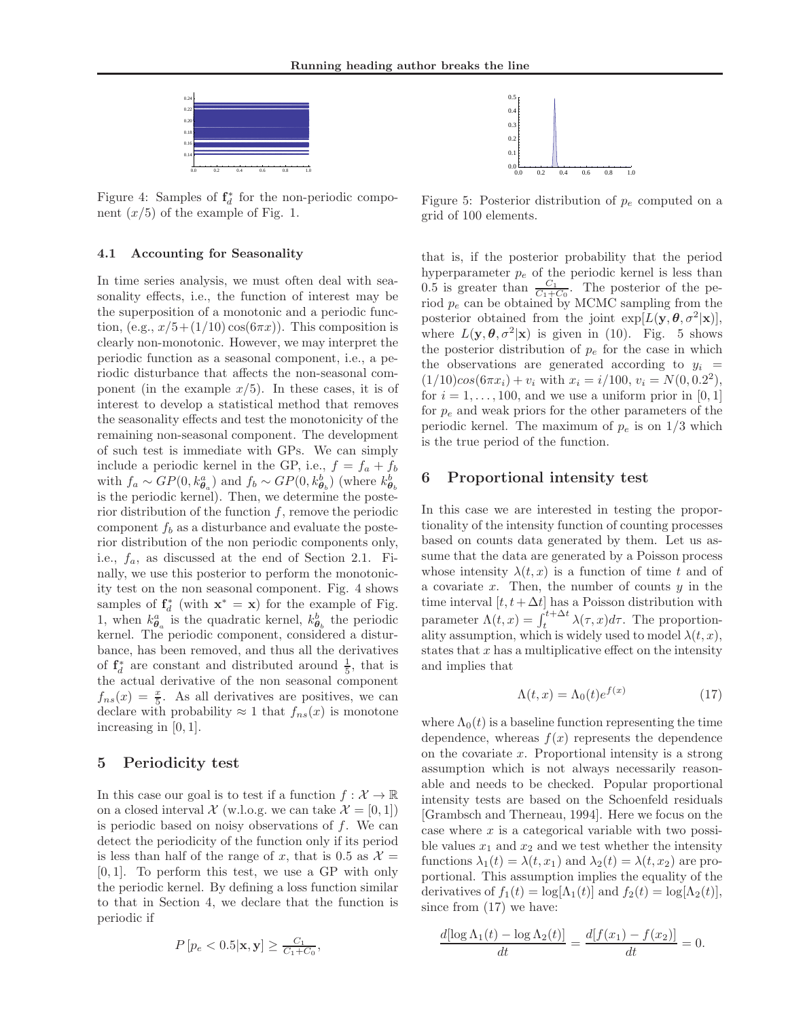

Figure 4: Samples of  $f_d^*$  for the non-periodic component  $(x/5)$  of the example of Fig. 1.

#### 4.1 Accounting for Seasonality

In time series analysis, we must often deal with seasonality effects, i.e., the function of interest may be the superposition of a monotonic and a periodic function, (e.g.,  $x/5+(1/10)\cos(6\pi x)$ ). This composition is clearly non-monotonic. However, we may interpret the periodic function as a seasonal component, i.e., a periodic disturbance that affects the non-seasonal component (in the example  $x/5$ ). In these cases, it is of interest to develop a statistical method that removes the seasonality effects and test the monotonicity of the remaining non-seasonal component. The development of such test is immediate with GPs. We can simply include a periodic kernel in the GP, i.e.,  $f = f_a + f_b$ with  $f_a \sim GP(0, k_{\theta_a}^a)$  and  $f_b \sim GP(0, k_{\theta_b}^b)$  (where  $k_{\theta_b}^b$ is the periodic kernel). Then, we determine the posterior distribution of the function  $f$ , remove the periodic component  $f_b$  as a disturbance and evaluate the posterior distribution of the non periodic components only, i.e.,  $f_a$ , as discussed at the end of Section 2.1. Finally, we use this posterior to perform the monotonicity test on the non seasonal component. Fig. 4 shows samples of  $f_d^*$  (with  $x^* = x$ ) for the example of Fig. 1, when  $k_{\theta_a}^a$  is the quadratic kernel,  $k_{\theta_b}^b$  the periodic kernel. The periodic component, considered a disturbance, has been removed, and thus all the derivatives of  $f_d^*$  are constant and distributed around  $\frac{1}{5}$ , that is the actual derivative of the non seasonal component  $f_{ns}(x) = \frac{x}{5}$ . As all derivatives are positives, we can declare with probability  $\approx 1$  that  $f_{ns}(x)$  is monotone increasing in [0, 1].

# 5 Periodicity test

In this case our goal is to test if a function  $f: \mathcal{X} \to \mathbb{R}$ on a closed interval  $\mathcal{X}$  (w.l.o.g. we can take  $\mathcal{X} = [0, 1]$ ) is periodic based on noisy observations of  $f$ . We can detect the periodicity of the function only if its period is less than half of the range of x, that is 0.5 as  $\mathcal{X} =$  $[0, 1]$ . To perform this test, we use a GP with only the periodic kernel. By defining a loss function similar to that in Section 4, we declare that the function is periodic if

$$
P\left[p_e < 0.5|\mathbf{x}, \mathbf{y}\right] \ge \frac{C_1}{C_1 + C_0},
$$



Figure 5: Posterior distribution of  $p_e$  computed on a grid of 100 elements.

that is, if the posterior probability that the period hyperparameter  $p_e$  of the periodic kernel is less than 0.5 is greater than  $\frac{C_1}{C_1+C_0}$ . The posterior of the period  $p_e$  can be obtained by MCMC sampling from the posterior obtained from the joint  $\exp[L(\mathbf{y}, \boldsymbol{\theta}, \sigma^2|\mathbf{x})],$ where  $L(\mathbf{y}, \boldsymbol{\theta}, \sigma^2 | \mathbf{x})$  is given in (10). Fig. 5 shows the posterior distribution of  $p_e$  for the case in which the observations are generated according to  $y_i$  =  $(1/10)cos(6\pi x_i) + v_i$  with  $x_i = i/100, v_i = N(0, 0.2^2),$ for  $i = 1, \ldots, 100$ , and we use a uniform prior in [0, 1] for  $p_e$  and weak priors for the other parameters of the periodic kernel. The maximum of  $p_e$  is on  $1/3$  which is the true period of the function.

# 6 Proportional intensity test

In this case we are interested in testing the proportionality of the intensity function of counting processes based on counts data generated by them. Let us assume that the data are generated by a Poisson process whose intensity  $\lambda(t, x)$  is a function of time t and of a covariate  $x$ . Then, the number of counts  $y$  in the time interval  $[t, t + \Delta t]$  has a Poisson distribution with parameter  $\Lambda(t, x) = \int_{t}^{t + \Delta t} \lambda(\tau, x) d\tau$ . The proportionality assumption, which is widely used to model  $\lambda(t, x)$ , states that  $x$  has a multiplicative effect on the intensity and implies that

$$
\Lambda(t, x) = \Lambda_0(t)e^{f(x)} \tag{17}
$$

where  $\Lambda_0(t)$  is a baseline function representing the time dependence, whereas  $f(x)$  represents the dependence on the covariate  $x$ . Proportional intensity is a strong assumption which is not always necessarily reasonable and needs to be checked. Popular proportional intensity tests are based on the Schoenfeld residuals [Grambsch and Therneau, 1994]. Here we focus on the case where  $x$  is a categorical variable with two possible values  $x_1$  and  $x_2$  and we test whether the intensity functions  $\lambda_1(t) = \lambda(t, x_1)$  and  $\lambda_2(t) = \lambda(t, x_2)$  are proportional. This assumption implies the equality of the derivatives of  $f_1(t) = \log[\Lambda_1(t)]$  and  $f_2(t) = \log[\Lambda_2(t)]$ , since from  $(17)$  we have:

$$
\frac{d[\log \Lambda_1(t) - \log \Lambda_2(t)]}{dt} = \frac{d[f(x_1) - f(x_2)]}{dt} = 0.
$$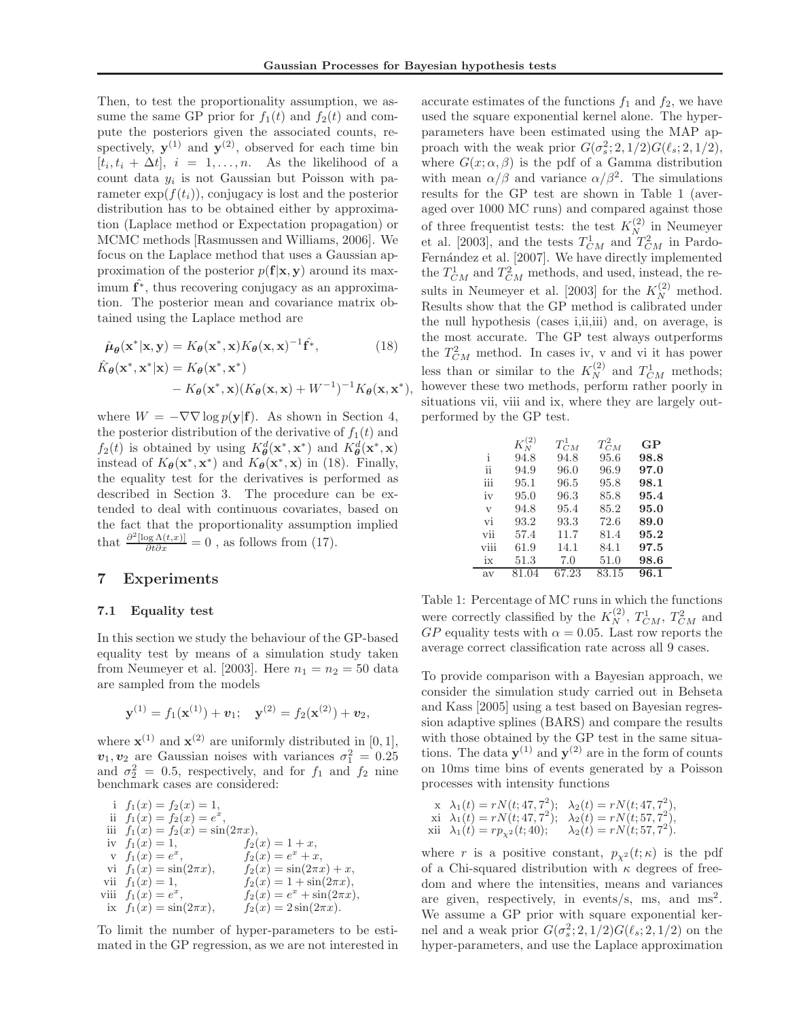Then, to test the proportionality assumption, we assume the same GP prior for  $f_1(t)$  and  $f_2(t)$  and compute the posteriors given the associated counts, respectively,  $y^{(1)}$  and  $y^{(2)}$ , observed for each time bin  $[t_i, t_i + \Delta t], i = 1, \ldots, n.$  As the likelihood of a count data  $y_i$  is not Gaussian but Poisson with parameter  $\exp(f(t_i))$ , conjugacy is lost and the posterior distribution has to be obtained either by approximation (Laplace method or Expectation propagation) or MCMC methods [Rasmussen and Williams, 2006]. We focus on the Laplace method that uses a Gaussian approximation of the posterior  $p(\mathbf{f}|\mathbf{x}, \mathbf{y})$  around its maximum  $\hat{\mathbf{f}}^*$ , thus recovering conjugacy as an approximation. The posterior mean and covariance matrix obtained using the Laplace method are

$$
\hat{\mu}_{\theta}(\mathbf{x}^*|\mathbf{x}, \mathbf{y}) = K_{\theta}(\mathbf{x}^*, \mathbf{x}) K_{\theta}(\mathbf{x}, \mathbf{x})^{-1} \hat{\mathbf{f}}^*,
$$
\n(18)

$$
\hat{K}_{\theta}(\mathbf{x}^*, \mathbf{x}^*|\mathbf{x}) = K_{\theta}(\mathbf{x}^*, \mathbf{x}^*)
$$
  
-  $K_{\theta}(\mathbf{x}^*, \mathbf{x})(K_{\theta}(\mathbf{x}, \mathbf{x}) + W^{-1})^{-1}K_{\theta}(\mathbf{x}, \mathbf{x}^*),$ 

where  $W = -\nabla \nabla \log p(\mathbf{y}|\mathbf{f})$ . As shown in Section 4, the posterior distribution of the derivative of  $f_1(t)$  and  $f_2(t)$  is obtained by using  $K^d_{\theta}(\mathbf{x}^*, \mathbf{x}^*)$  and  $K^d_{\theta}(\mathbf{x}^*, \mathbf{x})$ instead of  $K_{\theta}(\mathbf{x}^*, \mathbf{x}^*)$  and  $K_{\theta}(\mathbf{x}^*, \mathbf{x})$  in (18). Finally, the equality test for the derivatives is performed as described in Section 3. The procedure can be extended to deal with continuous covariates, based on the fact that the proportionality assumption implied that  $\frac{\partial^2 [\log \Lambda(t,x)]}{\partial t \partial x} = 0$ , as follows from (17).

### 7 Experiments

#### 7.1 Equality test

In this section we study the behaviour of the GP-based equality test by means of a simulation study taken from Neumeyer et al. [2003]. Here  $n_1 = n_2 = 50$  data are sampled from the models

$$
\mathbf{y}^{(1)} = f_1(\mathbf{x}^{(1)}) + \mathbf{v}_1; \quad \mathbf{y}^{(2)} = f_2(\mathbf{x}^{(2)}) + \mathbf{v}_2,
$$

where  $\mathbf{x}^{(1)}$  and  $\mathbf{x}^{(2)}$  are uniformly distributed in [0, 1],  $v_1, v_2$  are Gaussian noises with variances  $\sigma_1^2 = 0.25$ and  $\sigma_2^2 = 0.5$ , respectively, and for  $f_1$  and  $f_2$  nine benchmark cases are considered:

i  $f_1(x) = f_2(x) = 1$ , ii  $f_1(x) = f_2(x) = e^x$ , iii  $f_1(x) = f_2(x) = \sin(2\pi x),$ iv  $f_1(x) = 1$ ,  $f_2(x) = 1 + x$ , v  $f_1(x) = e^x$ ,  $f_2(x) = e^x + x$ , vi  $f_1(x) = \sin(2\pi x),$   $f_2(x) = \sin(2\pi x) + x,$ vii  $f_1(x) = 1$ ,  $f_2(x) = 1 + \sin(2\pi x)$ , viii  $f_1(x) = e^x$ ,  $f_2(x) = e^x + \sin(2\pi x),$ ix  $f_1(x) = \sin(2\pi x),$   $f_2(x) = 2\sin(2\pi x).$ 

To limit the number of hyper-parameters to be estimated in the GP regression, as we are not interested in accurate estimates of the functions  $f_1$  and  $f_2$ , we have used the square exponential kernel alone. The hyperparameters have been estimated using the MAP approach with the weak prior  $G(\sigma_s^2; 2, 1/2) G(\ell_s; 2, 1/2),$ where  $G(x; \alpha, \beta)$  is the pdf of a Gamma distribution with mean  $\alpha/\beta$  and variance  $\alpha/\beta^2$ . The simulations results for the GP test are shown in Table 1 (averaged over 1000 MC runs) and compared against those of three frequentist tests: the test  $K_N^{(2)}$  in Neumeyer et al. [2003], and the tests  $T_{CM}^1$  and  $T_{CM}^2$  in Pardo-Fernández et al. [2007]. We have directly implemented the  $T_{CM}^1$  and  $T_{CM}^2$  methods, and used, instead, the results in Neumeyer et al. [2003] for the  $K_N^{(2)}$  method. Results show that the GP method is calibrated under the null hypothesis (cases i,ii,iii) and, on average, is the most accurate. The GP test always outperforms the  $T_{CM}^2$  method. In cases iv, v and vi it has power less than or similar to the  $K_N^{(2)}$  and  $T_{CM}^1$  methods; however these two methods, perform rather poorly in situations vii, viii and ix, where they are largely outperformed by the GP test.

|                         | $K_N^{(2)}$ | $T_{CM}^1$ | $T_{CM}^2$ | GP   |
|-------------------------|-------------|------------|------------|------|
| i                       | 94.8        | 94.8       | 95.6       | 98.8 |
| ij                      | 94.9        | 96.0       | 96.9       | 97.0 |
| iii                     | 95.1        | 96.5       | 95.8       | 98.1 |
| iv                      | 95.0        | 96.3       | 85.8       | 95.4 |
| $\overline{\mathbf{V}}$ | 94.8        | 95.4       | 85.2       | 95.0 |
| vi                      | 93.2        | 93.3       | 72.6       | 89.0 |
| vii                     | 57.4        | 11.7       | 81.4       | 95.2 |
| viii                    | 61.9        | 14.1       | 84.1       | 97.5 |
| ix                      | 51.3        | 7.0        | 51.0       | 98.6 |
| av                      | 81.04       | 67.23      | 83.15      | 96.1 |

Table 1: Percentage of MC runs in which the functions were correctly classified by the  $K_N^{(2)}$ ,  $T_{CM}^1$ ,  $T_{CM}^2$  and  $GP$  equality tests with  $\alpha = 0.05$ . Last row reports the average correct classification rate across all 9 cases.

To provide comparison with a Bayesian approach, we consider the simulation study carried out in Behseta and Kass [2005] using a test based on Bayesian regression adaptive splines (BARS) and compare the results with those obtained by the GP test in the same situations. The data  $y^{(1)}$  and  $y^{(2)}$  are in the form of counts on 10ms time bins of events generated by a Poisson processes with intensity functions

$$
\begin{array}{ll}\n\text{x} & \lambda_1(t) = rN(t; 47, 7^2); & \lambda_2(t) = rN(t; 47, 7^2), \\
\text{xi} & \lambda_1(t) = rN(t; 47, 7^2); & \lambda_2(t) = rN(t; 57, 7^2), \\
\text{xii} & \lambda_1(t) = rp_{\chi^2}(t; 40); & \lambda_2(t) = rN(t; 57, 7^2).\n\end{array}
$$

where r is a positive constant,  $p_{\chi^2}(t;\kappa)$  is the pdf of a Chi-squared distribution with  $\kappa$  degrees of freedom and where the intensities, means and variances are given, respectively, in events/s, ms, and  $ms^2$ . We assume a GP prior with square exponential kernel and a weak prior  $G(\sigma_s^2; 2, 1/2)G(\ell_s; 2, 1/2)$  on the hyper-parameters, and use the Laplace approximation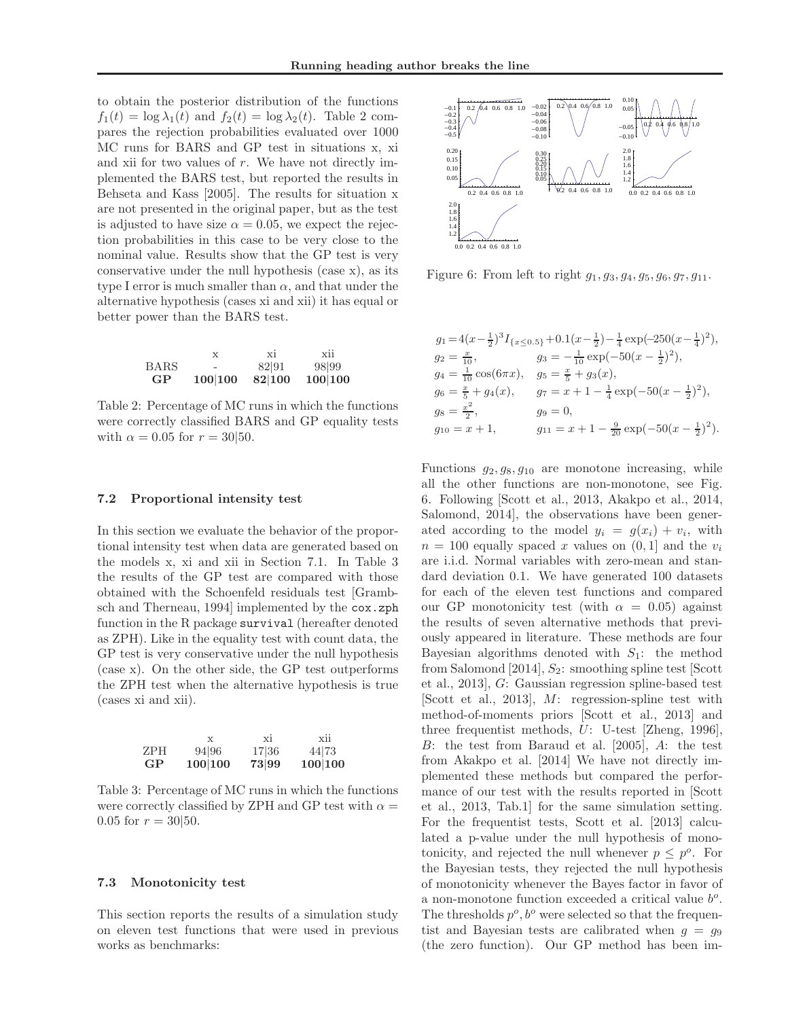to obtain the posterior distribution of the functions  $f_1(t) = \log \lambda_1(t)$  and  $f_2(t) = \log \lambda_2(t)$ . Table 2 compares the rejection probabilities evaluated over 1000 MC runs for BARS and GP test in situations x, xi and xii for two values of  $r$ . We have not directly implemented the BARS test, but reported the results in Behseta and Kass [2005]. The results for situation x are not presented in the original paper, but as the test is adjusted to have size  $\alpha = 0.05$ , we expect the rejection probabilities in this case to be very close to the nominal value. Results show that the GP test is very conservative under the null hypothesis (case x), as its type I error is much smaller than  $\alpha$ , and that under the alternative hypothesis (cases xi and xii) it has equal or better power than the BARS test.

|             | X                        | X1     | X11     |
|-------------|--------------------------|--------|---------|
| <b>BARS</b> | $\overline{\phantom{0}}$ | 82 91  | 98 99   |
| GP          | 100 100                  | 82 100 | 100 100 |

Table 2: Percentage of MC runs in which the functions were correctly classified BARS and GP equality tests with  $\alpha = 0.05$  for  $r = 30|50$ .

#### 7.2 Proportional intensity test

In this section we evaluate the behavior of the proportional intensity test when data are generated based on the models x, xi and xii in Section 7.1. In Table 3 the results of the GP test are compared with those obtained with the Schoenfeld residuals test [Grambsch and Therneau, 1994] implemented by the cox.zph function in the R package survival (hereafter denoted as ZPH). Like in the equality test with count data, the GP test is very conservative under the null hypothesis (case x). On the other side, the GP test outperforms the ZPH test when the alternative hypothesis is true (cases xi and xii).

|           |         | X1    | X11     |
|-----------|---------|-------|---------|
| ZPH       | 94 96   | 17 36 | 44 73   |
| <b>GP</b> | 100 100 | 73 99 | 100 100 |

Table 3: Percentage of MC runs in which the functions were correctly classified by ZPH and GP test with  $\alpha =$ 0.05 for  $r = 30|50$ .

#### 7.3 Monotonicity test

This section reports the results of a simulation study on eleven test functions that were used in previous works as benchmarks:



Figure 6: From left to right  $g_1, g_3, g_4, g_5, g_6, g_7, g_{11}$ .

$$
g_1 = 4(x - \frac{1}{2})^3 I_{\{x \le 0.5\}} + 0.1(x - \frac{1}{2}) - \frac{1}{4} \exp(-250(x - \frac{1}{4})^2),
$$
  
\n
$$
g_2 = \frac{x}{10}, \qquad g_3 = -\frac{1}{10} \exp(-50(x - \frac{1}{2})^2),
$$
  
\n
$$
g_4 = \frac{1}{10} \cos(6\pi x), \qquad g_5 = \frac{x}{5} + g_3(x),
$$
  
\n
$$
g_6 = \frac{x}{5} + g_4(x), \qquad g_7 = x + 1 - \frac{1}{4} \exp(-50(x - \frac{1}{2})^2),
$$
  
\n
$$
g_8 = \frac{x^2}{2}, \qquad g_9 = 0,
$$
  
\n
$$
g_{10} = x + 1, \qquad g_{11} = x + 1 - \frac{9}{20} \exp(-50(x - \frac{1}{2})^2).
$$

Functions  $g_2, g_8, g_{10}$  are monotone increasing, while all the other functions are non-monotone, see Fig. 6. Following [Scott et al., 2013, Akakpo et al., 2014, Salomond, 2014], the observations have been generated according to the model  $y_i = g(x_i) + v_i$ , with  $n = 100$  equally spaced x values on  $(0, 1]$  and the  $v_i$ are i.i.d. Normal variables with zero-mean and standard deviation 0.1. We have generated 100 datasets for each of the eleven test functions and compared our GP monotonicity test (with  $\alpha = 0.05$ ) against the results of seven alternative methods that previously appeared in literature. These methods are four Bayesian algorithms denoted with  $S_1$ : the method from Salomond [2014],  $S_2$ : smoothing spline test [Scott] et al., 2013], G: Gaussian regression spline-based test [Scott et al., 2013], M: regression-spline test with method-of-moments priors [Scott et al., 2013] and three frequentist methods, U: U-test [Zheng, 1996], B: the test from Baraud et al. [2005], A: the test from Akakpo et al. [2014] We have not directly implemented these methods but compared the performance of our test with the results reported in [Scott et al., 2013, Tab.1] for the same simulation setting. For the frequentist tests, Scott et al. [2013] calculated a p-value under the null hypothesis of monotonicity, and rejected the null whenever  $p \leq p^o$ . For the Bayesian tests, they rejected the null hypothesis of monotonicity whenever the Bayes factor in favor of a non-monotone function exceeded a critical value  $b^o$ . The thresholds  $p^o$ ,  $b^o$  were selected so that the frequentist and Bayesian tests are calibrated when  $q = q_9$ (the zero function). Our GP method has been im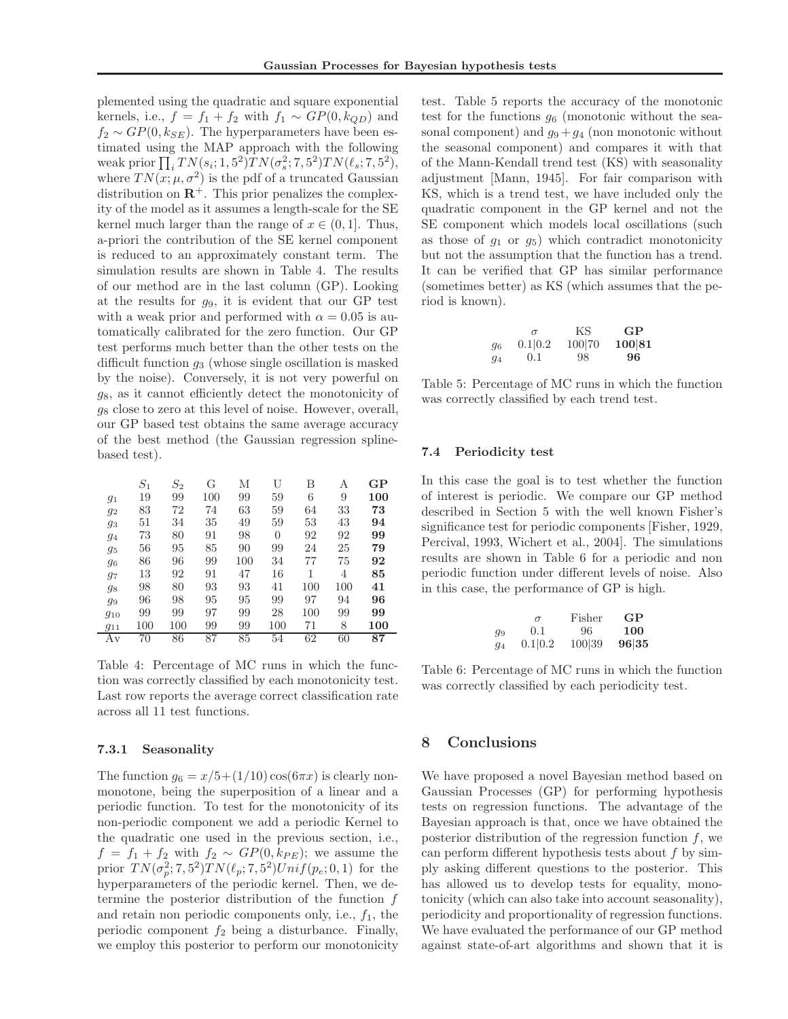plemented using the quadratic and square exponential kernels, i.e.,  $f = f_1 + f_2$  with  $f_1 \sim GP(0, k_{QD})$  and  $f_2 \sim GP(0, k_{SE})$ . The hyperparameters have been estimated using the MAP approach with the following weak prior  $\prod_i T N(s_i; 1, 5^2) T N(\sigma_s^2; 7, 5^2) T N(\ell_s; 7, 5^2),$ where  $TN(x; \mu, \sigma^2)$  is the pdf of a truncated Gaussian distribution on  $\mathbb{R}^+$ . This prior penalizes the complexity of the model as it assumes a length-scale for the SE kernel much larger than the range of  $x \in (0, 1]$ . Thus, a-priori the contribution of the SE kernel component is reduced to an approximately constant term. The simulation results are shown in Table 4. The results of our method are in the last column (GP). Looking at the results for  $g_9$ , it is evident that our GP test with a weak prior and performed with  $\alpha = 0.05$  is automatically calibrated for the zero function. Our GP test performs much better than the other tests on the difficult function  $q_3$  (whose single oscillation is masked by the noise). Conversely, it is not very powerful on  $g_8$ , as it cannot efficiently detect the monotonicity of  $g_8$  close to zero at this level of noise. However, overall, our GP based test obtains the same average accuracy of the best method (the Gaussian regression splinebased test).

|          | $S_{1}$ | $\scriptstyle S_2$ | G   | М   | U        | В   | Α   | GP  |
|----------|---------|--------------------|-----|-----|----------|-----|-----|-----|
| $g_1$    | 19      | 99                 | 100 | 99  | 59       | 6   | 9   | 100 |
| 92       | 83      | 72                 | 74  | 63  | 59       | 64  | 33  | 73  |
| 93       | 51      | 34                 | 35  | 49  | 59       | 53  | 43  | 94  |
| .94      | 73      | 80                 | 91  | 98  | $\Omega$ | 92  | 92  | 99  |
| 95       | 56      | 95                 | 85  | 90  | 99       | 24  | 25  | 79  |
| 96       | 86      | 96                 | 99  | 100 | 34       | 77  | 75  | 92  |
| 97       | 13      | 92                 | 91  | 47  | 16       | 1   | 4   | 85  |
| 98       | 98      | 80                 | 93  | 93  | 41       | 100 | 100 | 41  |
| 99       | 96      | 98                 | 95  | 95  | 99       | 97  | 94  | 96  |
| 910      | 99      | 99                 | 97  | 99  | 28       | 100 | 99  | 99  |
| $g_{11}$ | 100     | 100                | 99  | 99  | 100      | 71  | 8   | 100 |
| Αv       | 70      | 86                 | 87  | 85  | 54       | 62  | 60  | 87  |

Table 4: Percentage of MC runs in which the function was correctly classified by each monotonicity test. Last row reports the average correct classification rate across all 11 test functions.

#### 7.3.1 Seasonality

The function  $g_6 = x/5 + (1/10) \cos(6\pi x)$  is clearly nonmonotone, being the superposition of a linear and a periodic function. To test for the monotonicity of its non-periodic component we add a periodic Kernel to the quadratic one used in the previous section, i.e.,  $f = f_1 + f_2$  with  $f_2 \sim GP(0, k_{PE})$ ; we assume the prior  $TN(\sigma_p^2; 7, 5^2)TN(\ell_p; 7, 5^2)Unif(p_e; 0, 1)$  for the hyperparameters of the periodic kernel. Then, we determine the posterior distribution of the function  $f$ and retain non periodic components only, i.e.,  $f_1$ , the periodic component  $f_2$  being a disturbance. Finally, we employ this posterior to perform our monotonicity

test. Table 5 reports the accuracy of the monotonic test for the functions  $g_6$  (monotonic without the seasonal component) and  $g_9 + g_4$  (non monotonic without the seasonal component) and compares it with that of the Mann-Kendall trend test (KS) with seasonality adjustment [Mann, 1945]. For fair comparison with KS, which is a trend test, we have included only the quadratic component in the GP kernel and not the SE component which models local oscillations (such as those of  $g_1$  or  $g_5$ ) which contradict monotonicity but not the assumption that the function has a trend. It can be verified that GP has similar performance (sometimes better) as KS (which assumes that the period is known).

|    | $\sigma$ | ΚS     | GP     |
|----|----------|--------|--------|
| 96 | 0.1 0.2  | 100 70 | 100 81 |
| 94 | (0.1)    | 98.    | 96     |

Table 5: Percentage of MC runs in which the function was correctly classified by each trend test.

#### 7.4 Periodicity test

In this case the goal is to test whether the function of interest is periodic. We compare our GP method described in Section 5 with the well known Fisher's significance test for periodic components [Fisher, 1929, Percival, 1993, Wichert et al., 2004]. The simulations results are shown in Table 6 for a periodic and non periodic function under different levels of noise. Also in this case, the performance of GP is high.

|       | $\sigma$ | Fisher | GP    |
|-------|----------|--------|-------|
| q9    | (0.1)    | 96.    | 100   |
| $q_4$ | 0.1 0.2  | 100 39 | 96 35 |

Table 6: Percentage of MC runs in which the function was correctly classified by each periodicity test.

# 8 Conclusions

We have proposed a novel Bayesian method based on Gaussian Processes (GP) for performing hypothesis tests on regression functions. The advantage of the Bayesian approach is that, once we have obtained the posterior distribution of the regression function  $f$ , we can perform different hypothesis tests about  $f$  by simply asking different questions to the posterior. This has allowed us to develop tests for equality, monotonicity (which can also take into account seasonality), periodicity and proportionality of regression functions. We have evaluated the performance of our GP method against state-of-art algorithms and shown that it is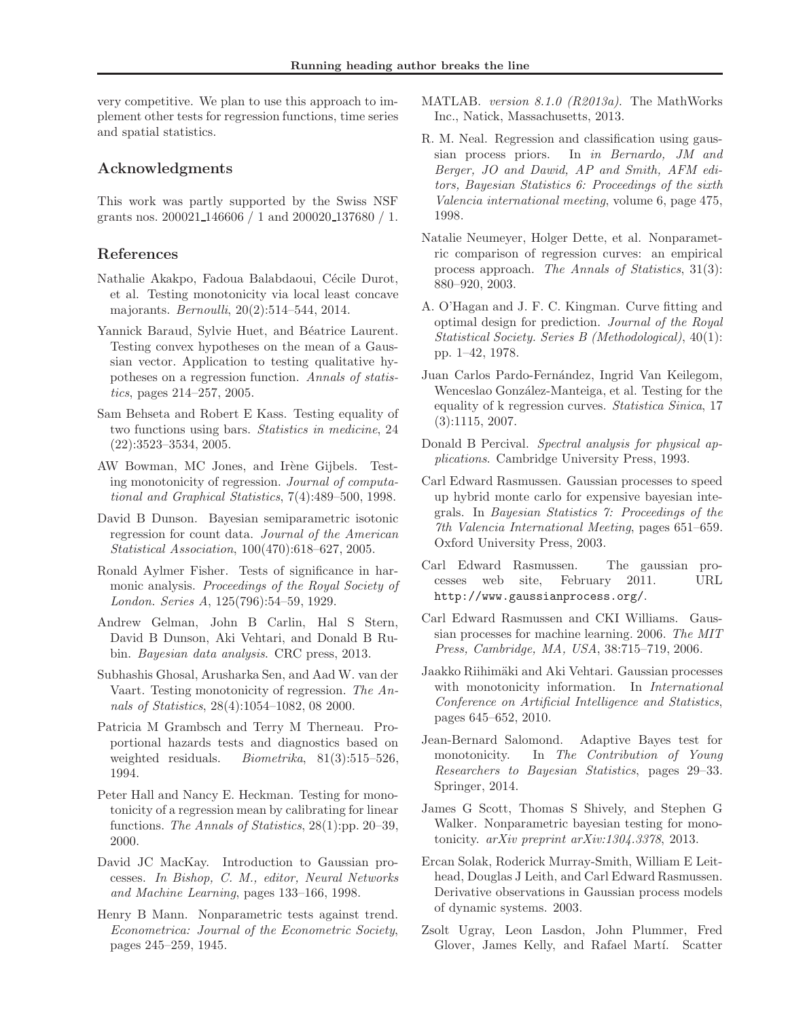very competitive. We plan to use this approach to implement other tests for regression functions, time series and spatial statistics.

## Acknowledgments

This work was partly supported by the Swiss NSF grants nos. 200021 146606 / 1 and 200020 137680 / 1.

### References

- Nathalie Akakpo, Fadoua Balabdaoui, Cécile Durot, et al. Testing monotonicity via local least concave majorants. *Bernoulli*, 20(2):514–544, 2014.
- Yannick Baraud, Sylvie Huet, and Béatrice Laurent. Testing convex hypotheses on the mean of a Gaussian vector. Application to testing qualitative hypotheses on a regression function. Annals of statistics, pages 214–257, 2005.
- Sam Behseta and Robert E Kass. Testing equality of two functions using bars. Statistics in medicine, 24 (22):3523–3534, 2005.
- AW Bowman, MC Jones, and Irène Gijbels. Testing monotonicity of regression. Journal of computational and Graphical Statistics, 7(4):489–500, 1998.
- David B Dunson. Bayesian semiparametric isotonic regression for count data. Journal of the American Statistical Association, 100(470):618–627, 2005.
- Ronald Aylmer Fisher. Tests of significance in harmonic analysis. Proceedings of the Royal Society of London. Series A, 125(796):54–59, 1929.
- Andrew Gelman, John B Carlin, Hal S Stern, David B Dunson, Aki Vehtari, and Donald B Rubin. Bayesian data analysis. CRC press, 2013.
- Subhashis Ghosal, Arusharka Sen, and Aad W. van der Vaart. Testing monotonicity of regression. The Annals of Statistics, 28(4):1054–1082, 08 2000.
- Patricia M Grambsch and Terry M Therneau. Proportional hazards tests and diagnostics based on weighted residuals. *Biometrika*, 81(3):515-526, 1994.
- Peter Hall and Nancy E. Heckman. Testing for monotonicity of a regression mean by calibrating for linear functions. The Annals of Statistics, 28(1):pp. 20–39, 2000.
- David JC MacKay. Introduction to Gaussian processes. In Bishop, C. M., editor, Neural Networks and Machine Learning, pages 133–166, 1998.
- Henry B Mann. Nonparametric tests against trend. Econometrica: Journal of the Econometric Society, pages 245–259, 1945.
- MATLAB. version 8.1.0 (R2013a). The MathWorks Inc., Natick, Massachusetts, 2013.
- R. M. Neal. Regression and classification using gaussian process priors. In in Bernardo, JM and Berger, JO and Dawid, AP and Smith, AFM editors, Bayesian Statistics 6: Proceedings of the sixth Valencia international meeting, volume 6, page 475, 1998.
- Natalie Neumeyer, Holger Dette, et al. Nonparametric comparison of regression curves: an empirical process approach. The Annals of Statistics, 31(3): 880–920, 2003.
- A. O'Hagan and J. F. C. Kingman. Curve fitting and optimal design for prediction. Journal of the Royal Statistical Society. Series B (Methodological), 40(1): pp. 1–42, 1978.
- Juan Carlos Pardo-Fernández, Ingrid Van Keilegom, Wenceslao González-Manteiga, et al. Testing for the equality of k regression curves. Statistica Sinica, 17 (3):1115, 2007.
- Donald B Percival. Spectral analysis for physical applications. Cambridge University Press, 1993.
- Carl Edward Rasmussen. Gaussian processes to speed up hybrid monte carlo for expensive bayesian integrals. In Bayesian Statistics 7: Proceedings of the 7th Valencia International Meeting, pages 651–659. Oxford University Press, 2003.
- Carl Edward Rasmussen. The gaussian processes web site, February 2011. URL http://www.gaussianprocess.org/.
- Carl Edward Rasmussen and CKI Williams. Gaussian processes for machine learning. 2006. The MIT Press, Cambridge, MA, USA, 38:715–719, 2006.
- Jaakko Riihimäki and Aki Vehtari. Gaussian processes with monotonicity information. In *International* Conference on Artificial Intelligence and Statistics, pages 645–652, 2010.
- Jean-Bernard Salomond. Adaptive Bayes test for monotonicity. In The Contribution of Young Researchers to Bayesian Statistics, pages 29–33. Springer, 2014.
- James G Scott, Thomas S Shively, and Stephen G Walker. Nonparametric bayesian testing for monotonicity. arXiv preprint arXiv:1304.3378, 2013.
- Ercan Solak, Roderick Murray-Smith, William E Leithead, Douglas J Leith, and Carl Edward Rasmussen. Derivative observations in Gaussian process models of dynamic systems. 2003.
- Zsolt Ugray, Leon Lasdon, John Plummer, Fred Glover, James Kelly, and Rafael Martí. Scatter